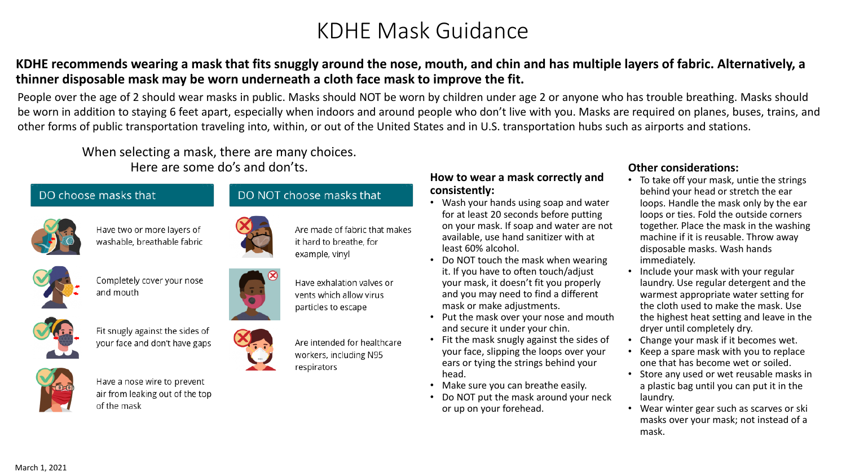# KDHE Mask Guidance

### **KDHE recommends wearing a mask that fits snuggly around the nose, mouth, and chin and has multiple layers of fabric. Alternatively, a thinner disposable mask may be worn underneath a cloth face mask to improve the fit.**

People over the age of 2 should wear masks in public. Masks should NOT be worn by children under age 2 or anyone who has trouble breathing. Masks should be worn in addition to staying 6 feet apart, especially when indoors and around people who don't live with you. Masks are required on planes, buses, trains, and other forms of public transportation traveling into, within, or out of the United States and in U.S. transportation hubs such as airports and stations.

When selecting a mask, there are many choices. Here are some do's and don'ts.

#### DO choose masks that



Have two or more layers of washable, breathable fabric



Completely cover your nose and mouth





Fit snugly against the sides of your face and don't have gaps



Have a nose wire to prevent air from leaking out of the top of the mask





it hard to breathe, for

Have exhalation valves or vents which allow virus particles to escape

Are intended for healthcare workers, including N95 respirators

#### **How to wear a mask correctly and consistently:**

- Wash your hands using soap and water for at least 20 seconds before putting on your mask. If soap and water are not available, use hand sanitizer with at least 60% alcohol.
- Do NOT touch the mask when wearing it. If you have to often touch/adjust your mask, it doesn't fit you properly and you may need to find a different mask or make adjustments.
- Put the mask over your nose and mouth and secure it under your chin.
- Fit the mask snugly against the sides of your face, slipping the loops over your ears or tying the strings behind your head.
- Make sure you can breathe easily.
- Do NOT put the mask around your neck or up on your forehead.

#### **Other considerations:**

- To take off your mask, untie the strings behind your head or stretch the ear loops. Handle the mask only by the ear loops or ties. Fold the outside corners together. Place the mask in the washing machine if it is reusable. Throw away disposable masks. Wash hands immediately.
- Include your mask with your regular laundry. Use regular detergent and the warmest appropriate water setting for the cloth used to make the mask. Use the highest heat setting and leave in the dryer until completely dry.
- Change your mask if it becomes wet.
- Keep a spare mask with you to replace one that has become wet or soiled.
- Store any used or wet reusable masks in a plastic bag until you can put it in the laundry.
- Wear winter gear such as scarves or ski masks over your mask; not instead of a mask.